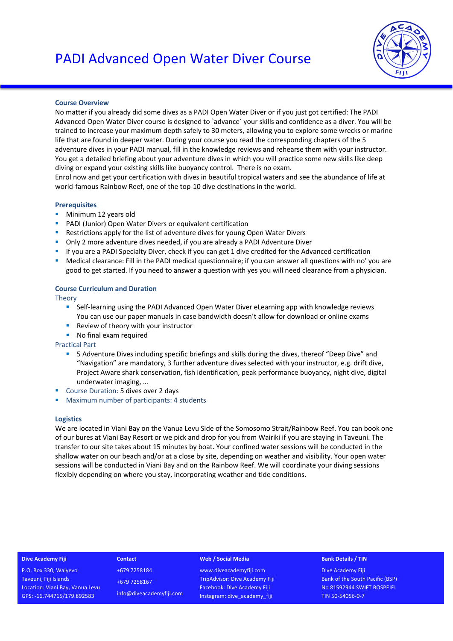

# **Course Overview**

No matter if you already did some dives as a PADI Open Water Diver or if you just got certified: The PADI Advanced Open Water Diver course is designed to `advance´ your skills and confidence as a diver. You will be trained to increase your maximum depth safely to 30 meters, allowing you to explore some wrecks or marine life that are found in deeper water. During your course you read the corresponding chapters of the 5 adventure dives in your PADI manual, fill in the knowledge reviews and rehearse them with your instructor. You get a detailed briefing about your adventure dives in which you will practice some new skills like deep diving or expand your existing skills like buoyancy control. There is no exam.

Enrol now and get your certification with dives in beautiful tropical waters and see the abundance of life at world-famous Rainbow Reef, one of the top-10 dive destinations in the world.

# **Prerequisites**

- **•** Minimum 12 years old
- § PADI (Junior) Open Water Divers or equivalent certification
- Restrictions apply for the list of adventure dives for young Open Water Divers
- § Only 2 more adventure dives needed, if you are already a PADI Adventure Diver
- If you are a PADI Specialty Diver, check if you can get 1 dive credited for the Advanced certification
- Medical clearance: Fill in the PADI medical questionnaire; if you can answer all questions with no' you are good to get started. If you need to answer a question with yes you will need clearance from a physician.

# **Course Curriculum and Duration**

Theory

- Self-learning using the PADI Advanced Open Water Diver eLearning app with knowledge reviews You can use our paper manuals in case bandwidth doesn't allow for download or online exams
- Review of theory with your instructor
- **No final exam required**

Practical Part

- § 5 Adventure Dives including specific briefings and skills during the dives, thereof "Deep Dive" and "Navigation" are mandatory, 3 further adventure dives selected with your instructor, e.g. drift dive, Project Aware shark conservation, fish identification, peak performance buoyancy, night dive, digital underwater imaging, …
- Course Duration: 5 dives over 2 days
- Maximum number of participants: 4 students

# **Logistics**

We are located in Viani Bay on the Vanua Levu Side of the Somosomo Strait/Rainbow Reef. You can book one of our bures at Viani Bay Resort or we pick and drop for you from Wairiki if you are staying in Taveuni. The transfer to our site takes about 15 minutes by boat. Your confined water sessions will be conducted in the shallow water on our beach and/or at a close by site, depending on weather and visibility. Your open water sessions will be conducted in Viani Bay and on the Rainbow Reef. We will coordinate your diving sessions flexibly depending on where you stay, incorporating weather and tide conditions.

### **Dive Academy Fiji**

P.O. Box 330, Waiyevo Taveuni, Fiji Islands Location: Viani Bay, Vanua Levu GPS: -16.744715/179.892583

**Contact** +679 7258184 +679 7258167 info@diveacademyfiji.com

### **Web / Social Media**

www.diveacademyfiji.com TripAdvisor: Dive Academy Fiji Facebook: Dive Academy Fiji Instagram: dive\_academy\_fiji

#### **Bank Details / TIN**

Dive Academy Fiji Bank of the South Pacific (BSP) No 81592944 SWIFT BOSPFJFJ TIN 50-54056-0-7